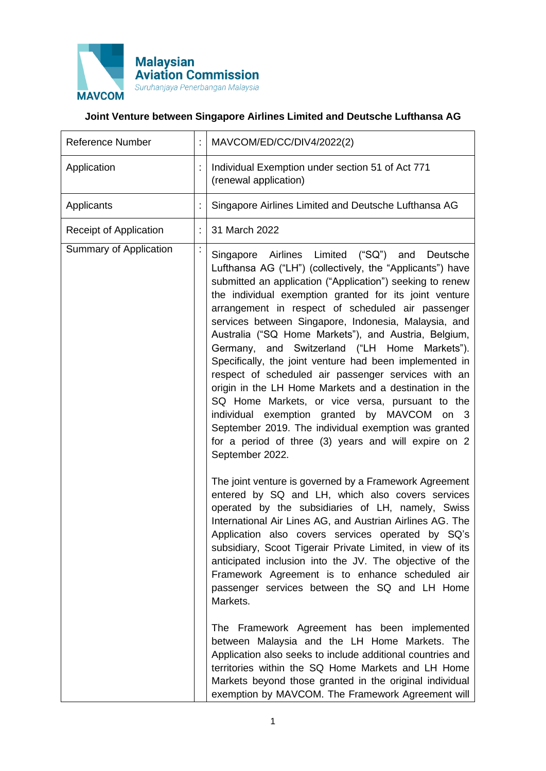

## **Joint Venture between Singapore Airlines Limited and Deutsche Lufthansa AG**

| <b>Reference Number</b>       | MAVCOM/ED/CC/DIV4/2022(2)                                                                                                                                                                                                                                                                                                                                                                                                                                                                                                                                                                                                                                                                                                                                                                                                                                                                                                              |
|-------------------------------|----------------------------------------------------------------------------------------------------------------------------------------------------------------------------------------------------------------------------------------------------------------------------------------------------------------------------------------------------------------------------------------------------------------------------------------------------------------------------------------------------------------------------------------------------------------------------------------------------------------------------------------------------------------------------------------------------------------------------------------------------------------------------------------------------------------------------------------------------------------------------------------------------------------------------------------|
| Application                   | Individual Exemption under section 51 of Act 771<br>(renewal application)                                                                                                                                                                                                                                                                                                                                                                                                                                                                                                                                                                                                                                                                                                                                                                                                                                                              |
| Applicants                    | Singapore Airlines Limited and Deutsche Lufthansa AG                                                                                                                                                                                                                                                                                                                                                                                                                                                                                                                                                                                                                                                                                                                                                                                                                                                                                   |
| Receipt of Application        | 31 March 2022                                                                                                                                                                                                                                                                                                                                                                                                                                                                                                                                                                                                                                                                                                                                                                                                                                                                                                                          |
| <b>Summary of Application</b> | Singapore Airlines Limited ("SQ") and<br>Deutsche<br>Lufthansa AG ("LH") (collectively, the "Applicants") have<br>submitted an application ("Application") seeking to renew<br>the individual exemption granted for its joint venture<br>arrangement in respect of scheduled air passenger<br>services between Singapore, Indonesia, Malaysia, and<br>Australia ("SQ Home Markets"), and Austria, Belgium,<br>Germany, and Switzerland ("LH Home Markets").<br>Specifically, the joint venture had been implemented in<br>respect of scheduled air passenger services with an<br>origin in the LH Home Markets and a destination in the<br>SQ Home Markets, or vice versa, pursuant to the<br>individual exemption granted by MAVCOM on 3<br>September 2019. The individual exemption was granted<br>for a period of three (3) years and will expire on 2<br>September 2022.<br>The joint venture is governed by a Framework Agreement |
|                               | entered by SQ and LH, which also covers services<br>operated by the subsidiaries of LH, namely, Swiss<br>International Air Lines AG, and Austrian Airlines AG. The<br>Application also covers services operated by SQ's<br>subsidiary, Scoot Tigerair Private Limited, in view of its<br>anticipated inclusion into the JV. The objective of the<br>Framework Agreement is to enhance scheduled air<br>passenger services between the SQ and LH Home<br>Markets.<br>The Framework Agreement has been implemented<br>between Malaysia and the LH Home Markets. The<br>Application also seeks to include additional countries and<br>territories within the SQ Home Markets and LH Home<br>Markets beyond those granted in the original individual<br>exemption by MAVCOM. The Framework Agreement will                                                                                                                                  |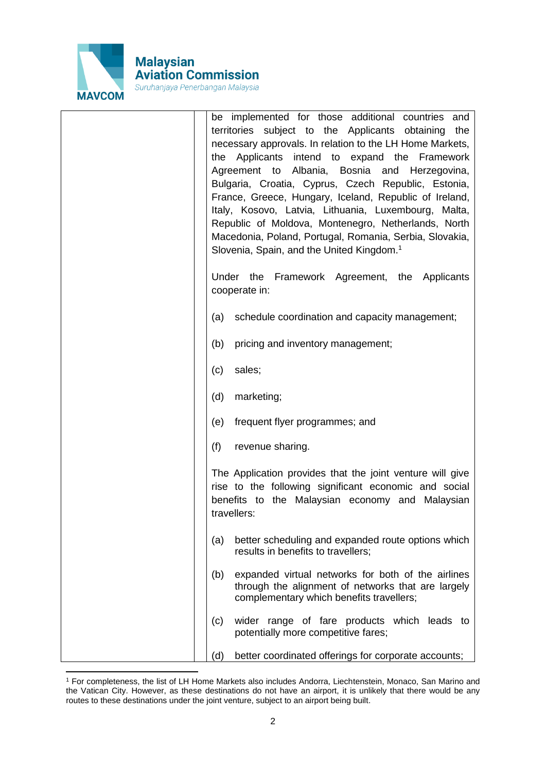

| be implemented for those additional countries<br>and<br>territories subject to the Applicants obtaining<br>the<br>necessary approvals. In relation to the LH Home Markets,<br>Applicants<br>intend to expand the Framework<br>the<br>Agreement to Albania, Bosnia and Herzegovina,<br>Bulgaria, Croatia, Cyprus, Czech Republic, Estonia,<br>France, Greece, Hungary, Iceland, Republic of Ireland,<br>Italy, Kosovo, Latvia, Lithuania, Luxembourg, Malta,<br>Republic of Moldova, Montenegro, Netherlands, North<br>Macedonia, Poland, Portugal, Romania, Serbia, Slovakia,<br>Slovenia, Spain, and the United Kingdom. <sup>1</sup> |
|----------------------------------------------------------------------------------------------------------------------------------------------------------------------------------------------------------------------------------------------------------------------------------------------------------------------------------------------------------------------------------------------------------------------------------------------------------------------------------------------------------------------------------------------------------------------------------------------------------------------------------------|
| Under the Framework Agreement, the Applicants<br>cooperate in:                                                                                                                                                                                                                                                                                                                                                                                                                                                                                                                                                                         |
| schedule coordination and capacity management;<br>(a)                                                                                                                                                                                                                                                                                                                                                                                                                                                                                                                                                                                  |
| pricing and inventory management;<br>(b)                                                                                                                                                                                                                                                                                                                                                                                                                                                                                                                                                                                               |
| sales;<br>(c)                                                                                                                                                                                                                                                                                                                                                                                                                                                                                                                                                                                                                          |
| (d)<br>marketing;                                                                                                                                                                                                                                                                                                                                                                                                                                                                                                                                                                                                                      |
| frequent flyer programmes; and<br>(e)                                                                                                                                                                                                                                                                                                                                                                                                                                                                                                                                                                                                  |
| (f)<br>revenue sharing.                                                                                                                                                                                                                                                                                                                                                                                                                                                                                                                                                                                                                |
| The Application provides that the joint venture will give<br>rise to the following significant economic and social<br>benefits to the Malaysian economy and Malaysian<br>travellers:                                                                                                                                                                                                                                                                                                                                                                                                                                                   |
| better scheduling and expanded route options which<br>(a)<br>results in benefits to travellers;                                                                                                                                                                                                                                                                                                                                                                                                                                                                                                                                        |
| (b)<br>expanded virtual networks for both of the airlines<br>through the alignment of networks that are largely<br>complementary which benefits travellers;                                                                                                                                                                                                                                                                                                                                                                                                                                                                            |
| wider range of fare products which leads to<br>(c)<br>potentially more competitive fares;                                                                                                                                                                                                                                                                                                                                                                                                                                                                                                                                              |
| (d)<br>better coordinated offerings for corporate accounts;                                                                                                                                                                                                                                                                                                                                                                                                                                                                                                                                                                            |

<sup>1</sup> For completeness, the list of LH Home Markets also includes Andorra, Liechtenstein, Monaco, San Marino and the Vatican City. However, as these destinations do not have an airport, it is unlikely that there would be any routes to these destinations under the joint venture, subject to an airport being built.